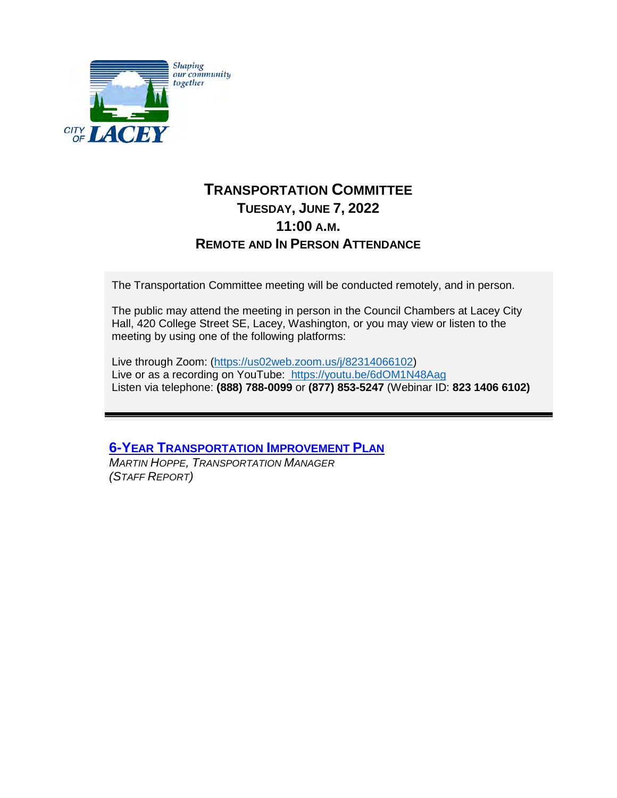

## **TRANSPORTATION COMMITTEE TUESDAY, JUNE 7, 2022 11:00 A.M. REMOTE AND IN PERSON ATTENDANCE**

The Transportation Committee meeting will be conducted remotely, and in person.

The public may attend the meeting in person in the Council Chambers at Lacey City Hall, 420 College Street SE, Lacey, Washington, or you may view or listen to the meeting by using one of the following platforms:

Live through Zoom: [\(https://us02web.zoom.us/j/82314066102\)](https://us02web.zoom.us/j/82314066102) Live or as a recording on YouTube:<https://youtu.be/6dOM1N48Aag> Listen via telephone: **(888) 788-0099** or **(877) 853-5247** (Webinar ID: **823 1406 6102)**

## **6-YEAR T[RANSPORTATION](#page-1-0) IMPROVEMENT PLAN**

*MARTIN HOPPE, TRANSPORTATION MANAGER (STAFF REPORT)*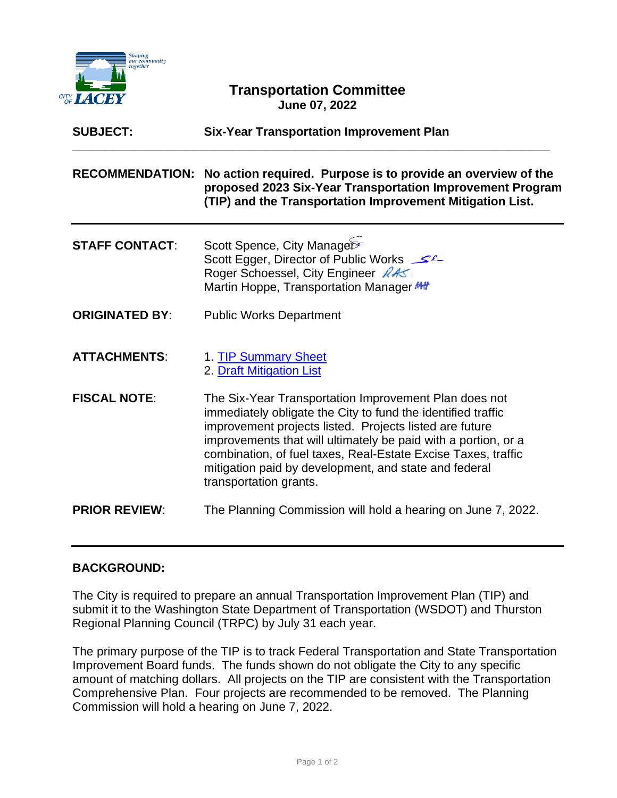<span id="page-1-0"></span>

## **Transportation Committee June 07, 2022**

| <b>SUBJECT:</b>        | <b>Six-Year Transportation Improvement Plan</b>                                                                                                                                                                                                                                                                                                                                                        |
|------------------------|--------------------------------------------------------------------------------------------------------------------------------------------------------------------------------------------------------------------------------------------------------------------------------------------------------------------------------------------------------------------------------------------------------|
| <b>RECOMMENDATION:</b> | No action required. Purpose is to provide an overview of the<br>proposed 2023 Six-Year Transportation Improvement Program<br>(TIP) and the Transportation Improvement Mitigation List.                                                                                                                                                                                                                 |
| <b>STAFF CONTACT:</b>  | Scott Spence, City Manager<br>Scott Egger, Director of Public Works<br>Roger Schoessel, City Engineer 245<br>Martin Hoppe, Transportation Manager MH                                                                                                                                                                                                                                                   |
| <b>ORIGINATED BY:</b>  | <b>Public Works Department</b>                                                                                                                                                                                                                                                                                                                                                                         |
| <b>ATTACHMENTS:</b>    | 1. TIP Summary Sheet<br>2. Draft Mitigation List                                                                                                                                                                                                                                                                                                                                                       |
| <b>FISCAL NOTE:</b>    | The Six-Year Transportation Improvement Plan does not<br>immediately obligate the City to fund the identified traffic<br>improvement projects listed. Projects listed are future<br>improvements that will ultimately be paid with a portion, or a<br>combination, of fuel taxes, Real-Estate Excise Taxes, traffic<br>mitigation paid by development, and state and federal<br>transportation grants. |
| <b>PRIOR REVIEW:</b>   | The Planning Commission will hold a hearing on June 7, 2022.                                                                                                                                                                                                                                                                                                                                           |

#### **BACKGROUND:**

The City is required to prepare an annual Transportation Improvement Plan (TIP) and submit it to the Washington State Department of Transportation (WSDOT) and Thurston Regional Planning Council (TRPC) by July 31 each year.

The primary purpose of the TIP is to track Federal Transportation and State Transportation Improvement Board funds. The funds shown do not obligate the City to any specific amount of matching dollars. All projects on the TIP are consistent with the Transportation Comprehensive Plan. Four projects are recommended to be removed. The Planning Commission will hold a hearing on June 7, 2022.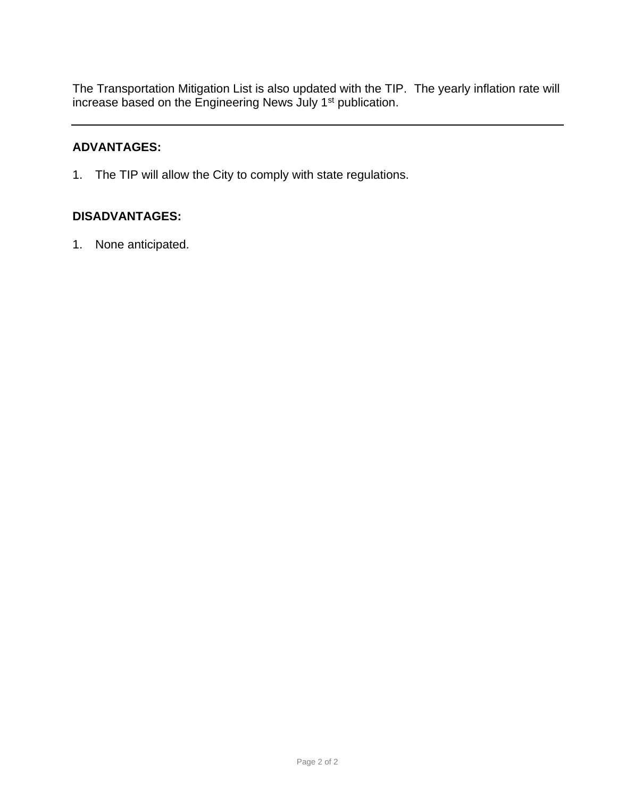The Transportation Mitigation List is also updated with the TIP. The yearly inflation rate will increase based on the Engineering News July 1<sup>st</sup> publication.

#### **ADVANTAGES:**

1. The TIP will allow the City to comply with state regulations.

#### **DISADVANTAGES:**

1. None anticipated.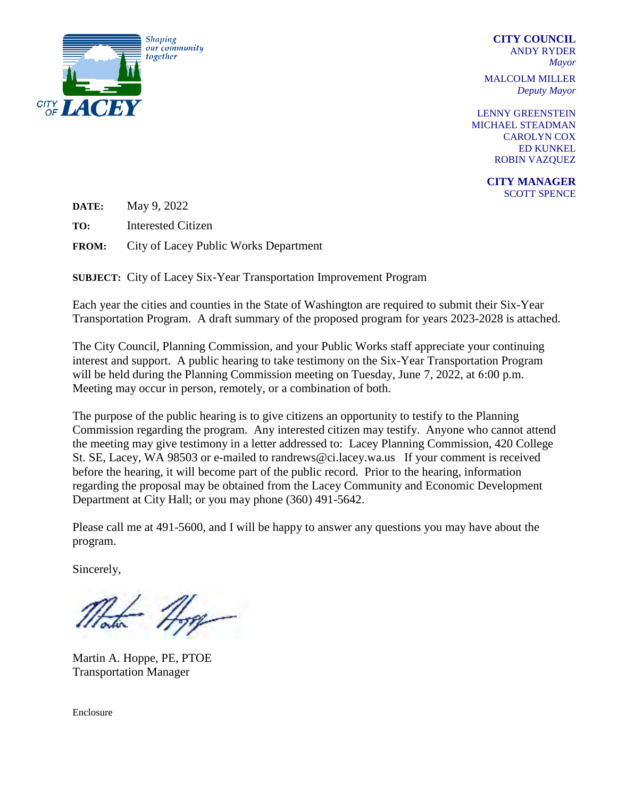<span id="page-3-0"></span>

 **CITY COUNCIL** ANDY RYDER *Mayor*

MALCOLM MILLER *Deputy Mayor*

LENNY GREENSTEIN MICHAEL STEADMAN CAROLYN COX ED KUNKEL ROBIN VAZQUEZ

> **CITY MANAGER** SCOTT SPENCE

**DATE:** May 9, 2022

**TO:** Interested Citizen

**FROM:** City of Lacey Public Works Department

**SUBJECT:** City of Lacey Six-Year Transportation Improvement Program

Each year the cities and counties in the State of Washington are required to submit their Six-Year Transportation Program. A draft summary of the proposed program for years 2023-2028 is attached.

The City Council, Planning Commission, and your Public Works staff appreciate your continuing interest and support. A public hearing to take testimony on the Six-Year Transportation Program will be held during the Planning Commission meeting on Tuesday, June 7, 2022, at 6:00 p.m. Meeting may occur in person, remotely, or a combination of both.

The purpose of the public hearing is to give citizens an opportunity to testify to the Planning Commission regarding the program. Any interested citizen may testify. Anyone who cannot attend the meeting may give testimony in a letter addressed to: Lacey Planning Commission, 420 College St. SE, Lacey, WA 98503 or e-mailed to [randrews@ci.lacey.wa.us](mailto:randrews@ci.lacey.wa.us) If your comment is received before the hearing, it will become part of the public record. Prior to the hearing, information regarding the proposal may be obtained from the Lacey Community and Economic Development Department at City Hall; or you may phone (360) 491-5642.

Please call me at 491-5600, and I will be happy to answer any questions you may have about the program.

Sincerely,

Hope

Martin A. Hoppe, PE, PTOE Transportation Manager

Enclosure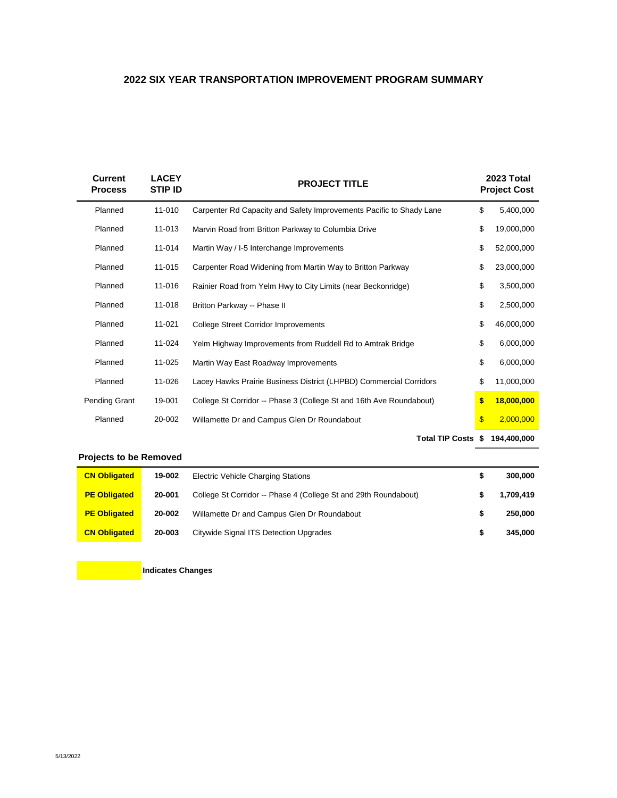#### **2022 SIX YEAR TRANSPORTATION IMPROVEMENT PROGRAM SUMMARY**

| <b>Current</b><br><b>Process</b> | <b>LACEY</b><br><b>STIP ID</b> | <b>PROJECT TITLE</b>                                                | 2023 Total<br><b>Project Cost</b> |
|----------------------------------|--------------------------------|---------------------------------------------------------------------|-----------------------------------|
| Planned                          | 11-010                         | Carpenter Rd Capacity and Safety Improvements Pacific to Shady Lane | \$<br>5,400,000                   |
| Planned                          | 11-013                         | Marvin Road from Britton Parkway to Columbia Drive                  | \$<br>19,000,000                  |
| Planned                          | 11-014                         | Martin Way / I-5 Interchange Improvements                           | \$<br>52,000,000                  |
| Planned                          | 11-015                         | Carpenter Road Widening from Martin Way to Britton Parkway          | \$<br>23,000,000                  |
| Planned                          | 11-016                         | Rainier Road from Yelm Hwy to City Limits (near Beckonridge)        | \$<br>3,500,000                   |
| Planned                          | 11-018                         | Britton Parkway -- Phase II                                         | \$<br>2,500,000                   |
| Planned                          | 11-021                         | <b>College Street Corridor Improvements</b>                         | \$<br>46,000,000                  |
| Planned                          | 11-024                         | Yelm Highway Improvements from Ruddell Rd to Amtrak Bridge          | \$<br>6,000,000                   |
| Planned                          | 11-025                         | Martin Way East Roadway Improvements                                | \$<br>6,000,000                   |
| Planned                          | 11-026                         | Lacey Hawks Prairie Business District (LHPBD) Commercial Corridors  | \$<br>11,000,000                  |
| Pending Grant                    | 19-001                         | College St Corridor -- Phase 3 (College St and 16th Ave Roundabout) | \$<br>18,000,000                  |
| Planned                          | 20-002                         | Willamette Dr and Campus Glen Dr Roundabout                         | \$<br>2,000,000                   |
|                                  |                                |                                                                     |                                   |

**Total TIP Costs \$ 194,400,000**

#### **Projects to be Removed**

| <b>CN Obligated</b> | 19-002 | <b>Electric Vehicle Charging Stations</b>                       |   | 300,000   |
|---------------------|--------|-----------------------------------------------------------------|---|-----------|
| <b>PE Obligated</b> | 20-001 | College St Corridor -- Phase 4 (College St and 29th Roundabout) |   | 1,709,419 |
| <b>PE Obligated</b> | 20-002 | Willamette Dr and Campus Glen Dr Roundabout                     | S | 250,000   |
| <b>CN Obligated</b> | 20-003 | Citywide Signal ITS Detection Upgrades                          | S | 345,000   |

**Indicates Changes**